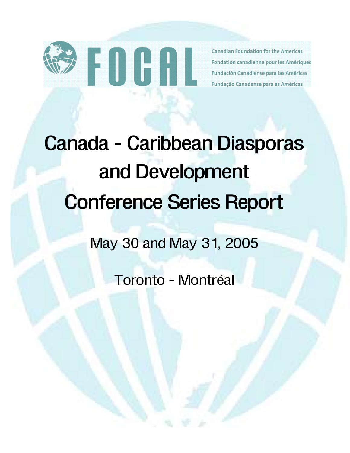

**Canadian Foundation for the Americas** Fondation canadienne pour les Amériques Fundación Canadiense para las Américas Fundação Canadense para as Américas

# **Canada - Caribbean Diasporas and Development Conference Series Report**

# May 30 and May 31, 2005

Toronto - Montréal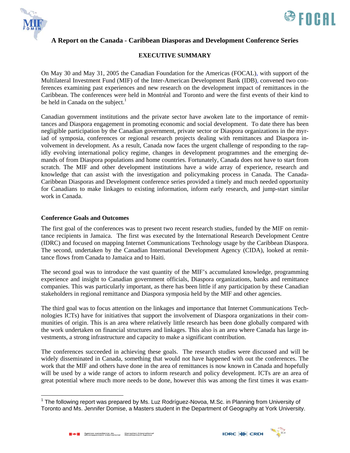



# **EXECUTIVE SUMMARY**

On May 30 and May 31, 2005 the Canadian Foundation for the Americas (FOCAL), with support of the Multilateral Investment Fund (MIF) of the Inter-American Development Bank (IDB), convened two conferences examining past experiences and new research on the development impact of remittances in the Caribbean. The conferences were held in Montréal and Toronto and were the first events of their kind to be held in Canada on the subject. $<sup>1</sup>$  $<sup>1</sup>$  $<sup>1</sup>$ </sup>

Canadian government institutions and the private sector have awoken late to the importance of remittances and Diaspora engagement in promoting economic and social development. To date there has been negligible participation by the Canadian government, private sector or Diaspora organizations in the myriad of symposia, conferences or regional research projects dealing with remittances and Diaspora involvement in development. As a result, Canada now faces the urgent challenge of responding to the rapidly evolving international policy regime, changes in development programmes and the emerging demands of from Diaspora populations and home countries. Fortunately, Canada does not have to start from scratch. The MIF and other development institutions have a wide array of experience, research and knowledge that can assist with the investigation and policymaking process in Canada. The Canada-Caribbean Diasporas and Development conference series provided a timely and much needed opportunity for Canadians to make linkages to existing information, inform early research, and jump-start similar work in Canada.

#### **Conference Goals and Outcomes**

The first goal of the conferences was to present two recent research studies, funded by the MIF on remittance recipients in Jamaica. The first was executed by the International Research Development Centre (IDRC) and focused on mapping Internet Communications Technology usage by the Caribbean Diaspora. The second, undertaken by the Canadian International Development Agency (CIDA), looked at remittance flows from Canada to Jamaica and to Haiti.

The second goal was to introduce the vast quantity of the MIF's accumulated knowledge, programming experience and insight to Canadian government officials, Diaspora organizations, banks and remittance companies. This was particularly important, as there has been little if any participation by these Canadian stakeholders in regional remittance and Diaspora symposia held by the MIF and other agencies.

The third goal was to focus attention on the linkages and importance that Internet Communications Technologies ICTs) have for initiatives that support the involvement of Diaspora organizations in their communities of origin. This is an area where relatively little research has been done globally compared with the work undertaken on financial structures and linkages. This also is an area where Canada has large investments, a strong infrastructure and capacity to make a significant contribution.

The conferences succeeded in achieving these goals. The research studies were discussed and will be widely disseminated in Canada, something that would not have happened with out the conferences. The work that the MIF and others have done in the area of remittances is now known in Canada and hopefully will be used by a wide range of actors to inform research and policy development. ICTs are an area of great potential where much more needs to be done, however this was among the first times it was exam-

 $\overline{a}$ 





<span id="page-1-0"></span><sup>&</sup>lt;sup>1</sup> The following report was prepared by Ms. Luz Rodríguez-Novoa, M.Sc. in Planning from University of Toronto and Ms. Jennifer Domise, a Masters student in the Department of Geography at York University.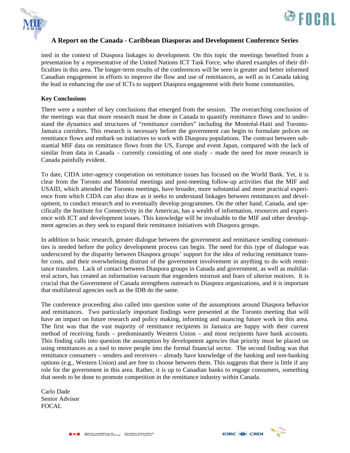



ined in the context of Diaspora linkages to development. On this topic the meetings benefited from a presentation by a representative of the United Nations ICT Task Force, who shared examples of their difficulties in this area. The longer-term results of the conferences will be seen in greater and better informed Canadian engagement in efforts to improve the flow and use of remittances, as well as in Canada taking the lead in enhancing the use of ICTs to support Diaspora engagement with their home communities.

#### **Key Conclusions**

There were a number of key conclusions that emerged from the session. The overarching conclusion of the meetings was that more research must be done in Canada to quantify remittance flows and to understand the dynamics and structures of "remittance corridors" including the Montréal-Haiti and Toronto-Jamaica corridors. This research is necessary before the government can begin to formulate polices on remittance flows and embark on initiatives to work with Diaspora populations. The contrast between substantial MIF data on remittance flows from the US, Europe and event Japan, compared with the lack of similar from data in Canada – currently consisting of one study – made the need for more research in Canada painfully evident.

To date, CIDA inter-agency cooperation on remittance issues has focused on the World Bank. Yet, it is clear from the Toronto and Montréal meetings and post-meeting follow-up activities that the MIF and USAID, which attended the Toronto meetings, have broader, more substantial and more practical experience from which CIDA can also draw as it seeks to understand linkages between remittances and development, to conduct research and to eventually develop programmes. On the other hand, Canada, and specifically the Institute for Connectivity in the Americas, has a wealth of information, resources and experience with ICT and development issues. This knowledge will be invaluable to the MIF and other development agencies as they seek to expand their remittance initiatives with Diaspora groups.

In addition to basic research, greater dialogue between the government and remittance sending communities is needed before the policy development process can begin. The need for this type of dialogue was underscored by the disparity between Diaspora groups' support for the idea of reducing remittance transfer costs, and their overwhelming distrust of the government involvement in anything to do with remittance transfers. Lack of contact between Diaspora groups in Canada and government, as well as multilateral actors, has created an information vacuum that engenders mistrust and fears of ulterior motives. It is crucial that the Government of Canada strengthens outreach to Diaspora organizations, and it is important that multilateral agencies such as the IDB do the same.

The conference proceeding also called into question some of the assumptions around Diaspora behavior and remittances. Two particularly important findings were presented at the Toronto meeting that will have an impact on future research and policy making, informing and nuancing future work in this area. The first was that the vast majority of remittance recipients in Jamaica are happy with their current method of receiving funds – predominantly Western Union – and most recipients have bank accounts. This finding calls into question the assumption by development agencies that priority must be placed on using remittances as a tool to move people into the formal financial sector. The second finding was that remittance consumers – senders and receivers – already have knowledge of the banking and non-banking options (e.g., Western Union) and are free to choose between them. This suggests that there is little if any role for the government in this area. Rather, it is up to Canadian banks to engage consumers, something that needs to be done to promote competition in the remittance industry within Canada.

Carlo Dade Senior Advisor FOCAL

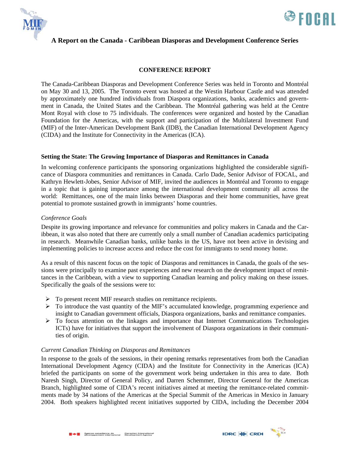



#### **CONFERENCE REPORT**

The Canada-Caribbean Diasporas and Development Conference Series was held in Toronto and Montréal on May 30 and 13, 2005. The Toronto event was hosted at the Westin Harbour Castle and was attended by approximately one hundred individuals from Diaspora organizations, banks, academics and government in Canada, the United States and the Caribbean. The Montréal gathering was held at the Centre Mont Royal with close to 75 individuals. The conferences were organized and hosted by the Canadian Foundation for the Americas, with the support and participation of the Multilateral Investment Fund (MIF) of the Inter-American Development Bank (IDB), the Canadian International Development Agency (CIDA) and the Institute for Connectivity in the Americas (ICA).

#### **Setting the State: The Growing Importance of Diasporas and Remittances in Canada**

In welcoming conference participants the sponsoring organizations highlighted the considerable significance of Diaspora communities and remittances in Canada. Carlo Dade, Senior Advisor of FOCAL, and Kathryn Hewlett-Jobes, Senior Advisor of MIF, invited the audiences in Montréal and Toronto to engage in a topic that is gaining importance among the international development community all across the world: Remittances, one of the main links between Diasporas and their home communities, have great potential to promote sustained growth in immigrants' home countries.

#### *Conference Goals*

Despite its growing importance and relevance for communities and policy makers in Canada and the Caribbean, it was also noted that there are currently only a small number of Canadian academics participating in research. Meanwhile Canadian banks, unlike banks in the US, have not been active in devising and implementing policies to increase access and reduce the cost for immigrants to send money home.

As a result of this nascent focus on the topic of Diasporas and remittances in Canada, the goals of the sessions were principally to examine past experiences and new research on the development impact of remittances in the Caribbean, with a view to supporting Canadian learning and policy making on these issues. Specifically the goals of the sessions were to:

- ¾ To present recent MIF research studies on remittance recipients.
- $\triangleright$  To introduce the vast quantity of the MIF's accumulated knowledge, programming experience and insight to Canadian government officials, Diaspora organizations, banks and remittance companies.
- ¾ To focus attention on the linkages and importance that Internet Communications Technologies ICTs) have for initiatives that support the involvement of Diaspora organizations in their communities of origin.

#### *Current Canadian Thinking on Diasporas and Remittances*

In response to the goals of the sessions, in their opening remarks representatives from both the Canadian International Development Agency (CIDA) and the Institute for Connectivity in the Americas (ICA) briefed the participants on some of the government work being undertaken in this area to date. Both Naresh Singh, Director of General Policy, and Darren Schemmer, Director General for the Americas Branch, highlighted some of CIDA's recent initiatives aimed at meeting the remittance-related commitments made by 34 nations of the Americas at the Special Summit of the Americas in Mexico in January 2004. Both speakers highlighted recent initiatives supported by CIDA, including the December 2004

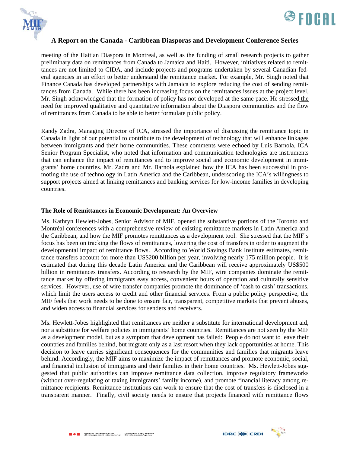



meeting of the Haitian Diaspora in Montreal, as well as the funding of small research projects to gather preliminary data on remittances from Canada to Jamaica and Haiti. However, initiatives related to remittances are not limited to CIDA, and include projects and programs undertaken by several Canadian federal agencies in an effort to better understand the remittance market. For example, Mr. Singh noted that Finance Canada has developed partnerships with Jamaica to explore reducing the cost of sending remittances from Canada. While there has been increasing focus on the remittances issues at the project level, Mr. Singh acknowledged that the formation of policy has not developed at the same pace. He stressed the need for improved qualitative and quantitative information about the Diaspora communities and the flow of remittances from Canada to be able to better formulate public policy.

Randy Zadra, Managing Director of ICA, stressed the importance of discussing the remittance topic in Canada in light of our potential to contribute to the development of technology that will enhance linkages between immigrants and their home communities. These comments were echoed by Luis Barnola, ICA Senior Program Specialist, who noted that information and communication technologies are instruments that can enhance the impact of remittances and to improve social and economic development in immigrants' home countries. Mr. Zadra and Mr. Barnola explained how the ICA has been successful in promoting the use of technology in Latin America and the Caribbean, underscoring the ICA's willingness to support projects aimed at linking remittances and banking services for low-income families in developing countries.

#### **The Role of Remittances in Economic Development: An Overview**

Ms. Kathryn Hewlett-Jobes, Senior Advisor of MIF, opened the substantive portions of the Toronto and Montréal conferences with a comprehensive review of existing remittance markets in Latin America and the Caribbean, and how the MIF promotes remittances as a development tool. She stressed that the MIF's focus has been on tracking the flows of remittances, lowering the cost of transfers in order to augment the developmental impact of remittance flows. According to World Savings Bank Institute estimates, remittance transfers account for more than US\$200 billion per year, involving nearly 175 million people. It is estimated that during this decade Latin America and the Caribbean will receive approximately US\$500 billion in remittances transfers. According to research by the MIF, wire companies dominate the remittance market by offering immigrants easy access, convenient hours of operation and culturally sensitive services. However, use of wire transfer companies promote the dominance of 'cash to cash' transactions, which limit the users access to credit and other financial services. From a public policy perspective, the MIF feels that work needs to be done to ensure fair, transparent, competitive markets that prevent abuses, and widen access to financial services for senders and receivers.

Ms. Hewlett-Jobes highlighted that remittances are neither a substitute for international development aid, nor a substitute for welfare policies in immigrants' home countries. Remittances are not seen by the MIF as a development model, but as a symptom that development has failed: People do not want to leave their countries and families behind, but migrate only as a last resort when they lack opportunities at home. This decision to leave carries significant consequences for the communities and families that migrants leave behind. Accordingly, the MIF aims to maximize the impact of remittances and promote economic, social, and financial inclusion of immigrants and their families in their home countries. Ms. Hewlett-Jobes suggested that public authorities can improve remittance data collection, improve regulatory frameworks (without over-regulating or taxing immigrants' family income), and promote financial literacy among remittance recipients. Remittance institutions can work to ensure that the cost of transfers is disclosed in a transparent manner. Finally, civil society needs to ensure that projects financed with remittance flows

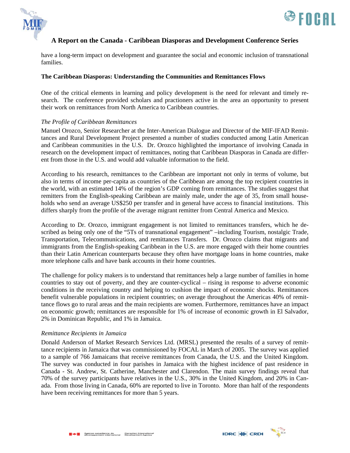



have a long-term impact on development and guarantee the social and economic inclusion of transnational families.

#### **The Caribbean Diasporas: Understanding the Communities and Remittances Flows**

One of the critical elements in learning and policy development is the need for relevant and timely research. The conference provided scholars and practioners active in the area an opportunity to present their work on remittances from North America to Caribbean countries.

#### *The Profile of Caribbean Remittances*

Manuel Orozco, Senior Researcher at the Inter-American Dialogue and Director of the MIF-IFAD Remittances and Rural Development Project presented a number of studies conducted among Latin American and Caribbean communities in the U.S. Dr. Orozco highlighted the importance of involving Canada in research on the development impact of remittances, noting that Caribbean Diasporas in Canada are different from those in the U.S. and would add valuable information to the field.

According to his research, remittances to the Caribbean are important not only in terms of volume, but also in terms of income per-capita as countries of the Caribbean are among the top recipient countries in the world, with an estimated 14% of the region's GDP coming from remittances. The studies suggest that remitters from the English-speaking Caribbean are mainly male, under the age of 35, from small households who send an average US\$250 per transfer and in general have access to financial institutions. This differs sharply from the profile of the average migrant remitter from Central America and Mexico.

According to Dr. Orozco, immigrant engagement is not limited to remittances transfers, which he described as being only one of the "5Ts of transnational engagement" –including Tourism, nostalgic Trade, Transportation, Telecommunications, and remittances Transfers. Dr. Orozco claims that migrants and immigrants from the English-speaking Caribbean in the U.S. are more engaged with their home countries than their Latin American counterparts because they often have mortgage loans in home countries, make more telephone calls and have bank accounts in their home countries.

The challenge for policy makers is to understand that remittances help a large number of families in home countries to stay out of poverty, and they are counter-cyclical – rising in response to adverse economic conditions in the receiving country and helping to cushion the impact of economic shocks. Remittances benefit vulnerable populations in recipient countries; on average throughout the Americas 40% of remittance flows go to rural areas and the main recipients are women. Furthermore, remittances have an impact on economic growth; remittances are responsible for 1% of increase of economic growth in El Salvador, 2% in Dominican Republic, and 1% in Jamaica.

#### *Remittance Recipients in Jamaica*

Donald Anderson of Market Research Services Ltd. (MRSL) presented the results of a survey of remittance recipients in Jamaica that was commissioned by FOCAL in March of 2005. The survey was applied to a sample of 766 Jamaicans that receive remittances from Canada, the U.S. and the United Kingdom. The survey was conducted in four parishes in Jamaica with the highest incidence of past residence in Canada - St. Andrew, St. Catherine, Manchester and Clarendon. The main survey findings reveal that 70% of the survey participants have relatives in the U.S., 30% in the United Kingdom, and 20% in Canada. From those living in Canada, 60% are reported to live in Toronto. More than half of the respondents have been receiving remittances for more than 5 years.

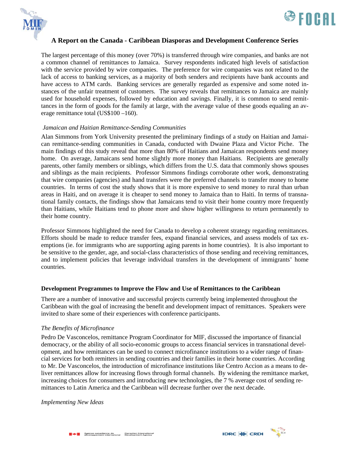



The largest percentage of this money (over 70%) is transferred through wire companies, and banks are not a common channel of remittances to Jamaica. Survey respondents indicated high levels of satisfaction with the service provided by wire companies. The preference for wire companies was not related to the lack of access to banking services, as a majority of both senders and recipients have bank accounts and have access to ATM cards. Banking services are generally regarded as expensive and some noted instances of the unfair treatment of customers. The survey reveals that remittances to Jamaica are mainly used for household expenses, followed by education and savings. Finally, it is common to send remittances in the form of goods for the family at large, with the average value of these goods equaling an average remittance total (US\$100 –160).

#### *Jamaican and Haitian Remittance-Sending Communities*

Alan Simmons from York University presented the preliminary findings of a study on Haitian and Jamaican remittance-sending communities in Canada, conducted with Dwaine Plaza and Victor Piche. The main findings of this study reveal that more than 80% of Haitians and Jamaican respondents send money home. On average, Jamaicans send home slightly more money than Haitians. Recipients are generally parents, other family members or siblings, which differs from the U.S. data that commonly shows spouses and siblings as the main recipients. Professor Simmons findings corroborate other work, demonstrating that wire companies (agencies) and hand transfers were the preferred channels to transfer money to home countries. In terms of cost the study shows that it is more expensive to send money to rural than urban areas in Haiti, and on average it is cheaper to send money to Jamaica than to Haiti. In terms of transnational family contacts, the findings show that Jamaicans tend to visit their home country more frequently than Haitians, while Haitians tend to phone more and show higher willingness to return permanently to their home country.

Professor Simmons highlighted the need for Canada to develop a coherent strategy regarding remittances. Efforts should be made to reduce transfer fees, expand financial services, and assess models of tax exemptions (ie. for immigrants who are supporting aging parents in home countries). It is also important to be sensitive to the gender, age, and social-class characteristics of those sending and receiving remittances, and to implement policies that leverage individual transfers in the development of immigrants' home countries.

#### **Development Programmes to Improve the Flow and Use of Remittances to the Caribbean**

There are a number of innovative and successful projects currently being implemented throughout the Caribbean with the goal of increasing the benefit and development impact of remittances. Speakers were invited to share some of their experiences with conference participants.

#### *The Benefits of Microfinance*

Pedro De Vasconcelos, remittance Program Coordinator for MIF, discussed the importance of financial democracy, or the ability of all socio-economic groups to access financial services in transnational development, and how remittances can be used to connect microfinance institutions to a wider range of financial services for both remitters in sending countries and their families in their home countries. According to Mr. De Vasconcelos, the introduction of microfinance institutions like Centro Accion as a means to deliver remittances allow for increasing flows through formal channels. By widening the remittance market, increasing choices for consumers and introducing new technologies, the 7 % average cost of sending remittances to Latin America and the Caribbean will decrease further over the next decade.

#### *Implementing New Ideas*

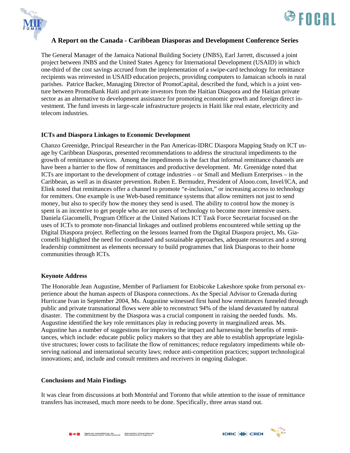



The General Manager of the Jamaica National Building Society (JNBS), Earl Jarrett, discussed a joint project between JNBS and the United States Agency for International Development (USAID) in which one-third of the cost savings accrued from the implementation of a swipe-card technology for remittance recipients was reinvested in USAID education projects, providing computers to Jamaican schools in rural parishes. Patrice Backer, Managing Director of PromoCapital, described the fund, which is a joint venture between PromoBank Haiti and private investors from the Haitian Diaspora and the Haitian private sector as an alternative to development assistance for promoting economic growth and foreign direct investment. The fund invests in large-scale infrastructure projects in Haiti like real estate, electricity and telecom industries.

#### **ICTs and Diaspora Linkages to Economic Development**

Chanzo Greenidge, Principal Researcher in the Pan Americas-IDRC Diaspora Mapping Study on ICT usage by Caribbean Diasporas, presented recommendations to address the structural impediments to the growth of remittance services. Among the impediments is the fact that informal remittance channels are have been a barrier to the flow of remittances and productive development. Mr. Greenidge noted that ICTs are important to the development of cottage industries – or Small and Medium Enterprises – in the Caribbean, as well as in disaster prevention. Ruben E. Bermudez, President of Alooo.com, Invel/ICA, and Elink noted that remittances offer a channel to promote "e-inclusion," or increasing access to technology for remitters. One example is use Web-based remittance systems that allow remitters not just to send money, but also to specify how the money they send is used. The ability to control how the money is spent is an incentive to get people who are not users of technology to become more intensive users. Daniela Giacomelli, Program Officer at the United Nations ICT Task Force Secretariat focused on the uses of ICTs to promote non-financial linkages and outlined problems encountered while setting up the Digital Diaspora project. Reflecting on the lessons learned from the Digital Diaspora project, Ms. Giacomelli highlighted the need for coordinated and sustainable approaches, adequate resources and a strong leadership commitment as elements necessary to build programmes that link Diasporas to their home communities through ICTs.

#### **Keynote Address**

The Honorable Jean Augustine, Member of Parliament for Etobicoke Lakeshore spoke from personal experience about the human aspects of Diaspora connections. As the Special Advisor to Grenada during Hurricane Ivan in September 2004, Ms. Augustine witnessed first hand how remittances funneled through public and private transnational flows were able to reconstruct 94% of the island devastated by natural disaster. The commitment by the Diaspora was a crucial component in raising the needed funds. Ms. Augustine identified the key role remittances play in reducing poverty in marginalized areas. Ms. Augustine has a number of suggestions for improving the impact and harnessing the benefits of remittances, which include: educate public policy makers so that they are able to establish appropriate legislative structures; lower costs to facilitate the flow of remittances; reduce regulatory impediments while observing national and international security laws; reduce anti-competition practices; support technological innovations; and, include and consult remitters and receivers in ongoing dialogue.

#### **Conclusions and Main Findings**

It was clear from discussions at both Montréal and Toronto that while attention to the issue of remittance transfers has increased, much more needs to be done. Specifically, three areas stand out.